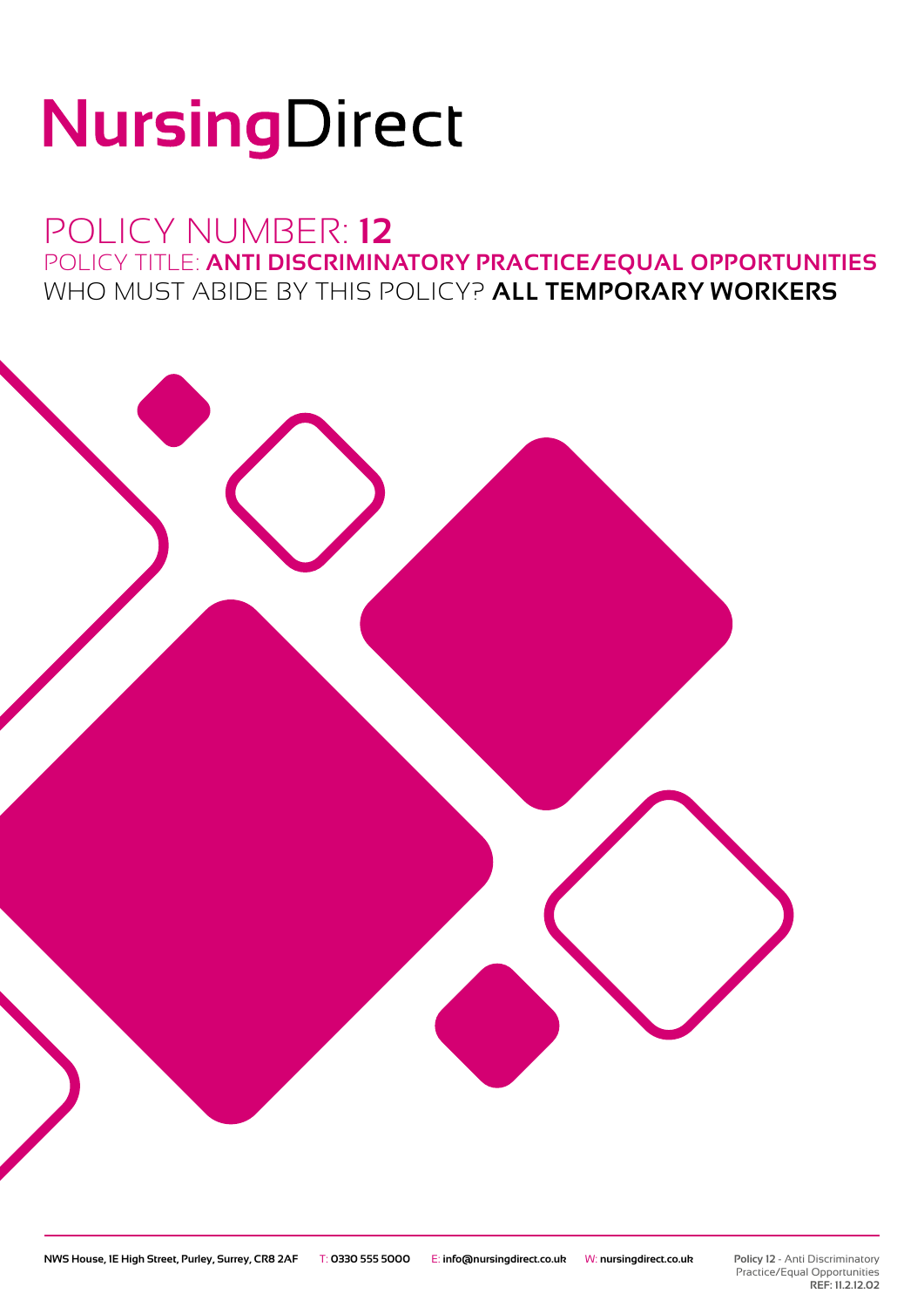# NursingDirect

## POLICY NUMBER: **12** POLICY TITLE: **ANTI DISCRIMINATORY PRACTICE/EQUAL OPPORTUNITIES** WHO MUST ABIDE BY THIS POLICY? **ALL TEMPORARY WORKERS**